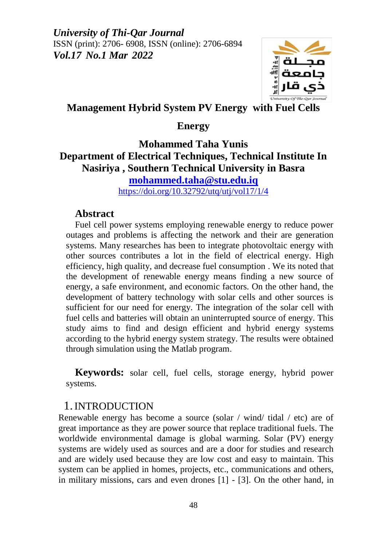

## **Management Hybrid System PV Energy with Fuel Cells**

### **Energy**

# **Mohammed Taha Yunis Department of Electrical Techniques, Technical Institute In Nasiriya , Southern Technical University in Basra [mohammed.taha@stu.edu.iq](mailto:mohammed.taha@stu.edu.iq)**

<https://doi.org/10.32792/utq/utj/vol17/1/4>

#### **Abstract**

Fuel cell power systems employing renewable energy to reduce power outages and problems is affecting the network and their are generation systems. Many researches has been to integrate photovoltaic energy with other sources contributes a lot in the field of electrical energy. High efficiency, high quality, and decrease fuel consumption . We its noted that the development of renewable energy means finding a new source of energy, a safe environment, and economic factors. On the other hand, the development of battery technology with solar cells and other sources is sufficient for our need for energy. The integration of the solar cell with fuel cells and batteries will obtain an uninterrupted source of energy. This study aims to find and design efficient and hybrid energy systems according to the hybrid energy system strategy. The results were obtained through simulation using the Matlab program.

**Keywords:** solar cell, fuel cells, storage energy, hybrid power systems.

## 1.INTRODUCTION

Renewable energy has become a source (solar / wind/ tidal / etc) are of great importance as they are power source that replace traditional fuels. The worldwide environmental damage is global warming. Solar (PV) energy systems are widely used as sources and are a door for studies and research and are widely used because they are low cost and easy to maintain. This system can be applied in homes, projects, etc., communications and others, in military missions, cars and even drones [1] - [3]. On the other hand, in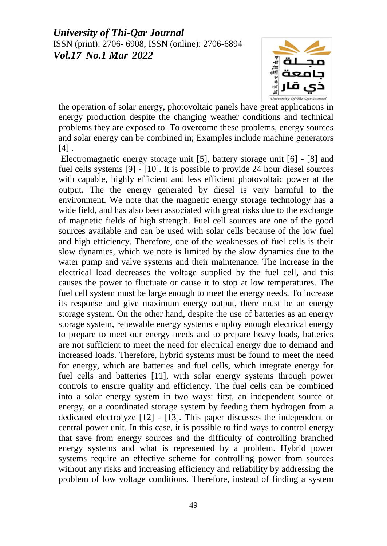

the operation of solar energy, photovoltaic panels have great applications in energy production despite the changing weather conditions and technical problems they are exposed to. To overcome these problems, energy sources and solar energy can be combined in; Examples include machine generators  $[4]$ .

Electromagnetic energy storage unit [5], battery storage unit [6] - [8] and fuel cells systems [9] - [10]. It is possible to provide 24 hour diesel sources with capable, highly efficient and less efficient photovoltaic power at the output. The the energy generated by diesel is very harmful to the environment. We note that the magnetic energy storage technology has a wide field, and has also been associated with great risks due to the exchange of magnetic fields of high strength. Fuel cell sources are one of the good sources available and can be used with solar cells because of the low fuel and high efficiency. Therefore, one of the weaknesses of fuel cells is their slow dynamics, which we note is limited by the slow dynamics due to the water pump and valve systems and their maintenance. The increase in the electrical load decreases the voltage supplied by the fuel cell, and this causes the power to fluctuate or cause it to stop at low temperatures. The fuel cell system must be large enough to meet the energy needs. To increase its response and give maximum energy output, there must be an energy storage system. On the other hand, despite the use of batteries as an energy storage system, renewable energy systems employ enough electrical energy to prepare to meet our energy needs and to prepare heavy loads, batteries are not sufficient to meet the need for electrical energy due to demand and increased loads. Therefore, hybrid systems must be found to meet the need for energy, which are batteries and fuel cells, which integrate energy for fuel cells and batteries [11], with solar energy systems through power controls to ensure quality and efficiency. The fuel cells can be combined into a solar energy system in two ways: first, an independent source of energy, or a coordinated storage system by feeding them hydrogen from a dedicated electrolyze [12] - [13]. This paper discusses the independent or central power unit. In this case, it is possible to find ways to control energy that save from energy sources and the difficulty of controlling branched energy systems and what is represented by a problem. Hybrid power systems require an effective scheme for controlling power from sources without any risks and increasing efficiency and reliability by addressing the problem of low voltage conditions. Therefore, instead of finding a system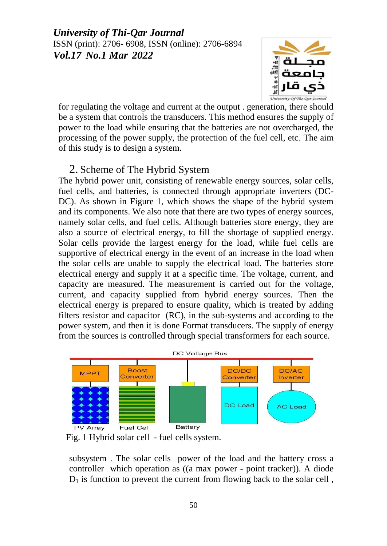

for regulating the voltage and current at the output . generation, there should be a system that controls the transducers. This method ensures the supply of power to the load while ensuring that the batteries are not overcharged, the processing of the power supply, the protection of the fuel cell, etc. The aim of this study is to design a system.

# 2. Scheme of The Hybrid System

The hybrid power unit, consisting of renewable energy sources, solar cells, fuel cells, and batteries, is connected through appropriate inverters (DC-DC). As shown in Figure 1, which shows the shape of the hybrid system and its components. We also note that there are two types of energy sources, namely solar cells, and fuel cells. Although batteries store energy, they are also a source of electrical energy, to fill the shortage of supplied energy. Solar cells provide the largest energy for the load, while fuel cells are supportive of electrical energy in the event of an increase in the load when the solar cells are unable to supply the electrical load. The batteries store electrical energy and supply it at a specific time. The voltage, current, and capacity are measured. The measurement is carried out for the voltage, current, and capacity supplied from hybrid energy sources. Then the electrical energy is prepared to ensure quality, which is treated by adding filters resistor and capacitor (RC), in the sub-systems and according to the power system, and then it is done Format transducers. The supply of energy from the sources is controlled through special transformers for each source.



Fig. 1 Hybrid solar cell - fuel cells system.

subsystem . The solar cells power of the load and the battery cross a controller which operation as ((a max power - point tracker)). A diode  $D_1$  is function to prevent the current from flowing back to the solar cell,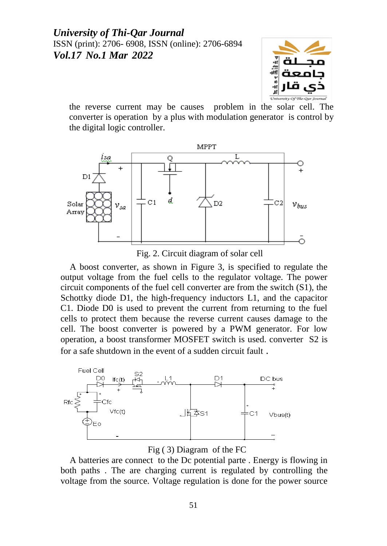

the reverse current may be causes problem in the solar cell. The converter is operation by a plus with modulation generator is control by the digital logic controller.



Fig. 2. Circuit diagram of solar cell

A boost converter, as shown in Figure 3, is specified to regulate the output voltage from the fuel cells to the regulator voltage. The power circuit components of the fuel cell converter are from the switch (S1), the Schottky diode D1, the high-frequency inductors L1, and the capacitor C1. Diode D0 is used to prevent the current from returning to the fuel cells to protect them because the reverse current causes damage to the cell. The boost converter is powered by a PWM generator. For low operation, a boost transformer MOSFET switch is used. converter S2 is for a safe shutdown in the event of a sudden circuit fault .





A batteries are connect to the Dc potential parte . Energy is flowing in both paths . The are charging current is regulated by controlling the voltage from the source. Voltage regulation is done for the power source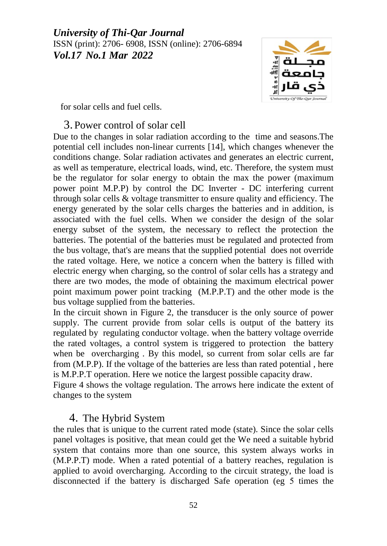

for solar cells and fuel cells.

### 3. Power control of solar cell

Due to the changes in solar radiation according to the time and seasons.The potential cell includes non-linear currents [14], which changes whenever the conditions change. Solar radiation activates and generates an electric current, as well as temperature, electrical loads, wind, etc. Therefore, the system must be the regulator for solar energy to obtain the max the power (maximum power point M.P.P) by control the DC Inverter - DC interfering current through solar cells & voltage transmitter to ensure quality and efficiency. The energy generated by the solar cells charges the batteries and in addition, is associated with the fuel cells. When we consider the design of the solar energy subset of the system, the necessary to reflect the protection the batteries. The potential of the batteries must be regulated and protected from the bus voltage, that's are means that the supplied potential does not override the rated voltage. Here, we notice a concern when the battery is filled with electric energy when charging, so the control of solar cells has a strategy and there are two modes, the mode of obtaining the maximum electrical power point maximum power point tracking (M.P.P.T) and the other mode is the bus voltage supplied from the batteries.

In the circuit shown in Figure 2, the transducer is the only source of power supply. The current provide from solar cells is output of the battery its regulated by regulating conductor voltage. when the battery voltage override the rated voltages, a control system is triggered to protection the battery when be overcharging . By this model, so current from solar cells are far from (M.P.P). If the voltage of the batteries are less than rated potential , here is M.P.P.T operation. Here we notice the largest possible capacity draw.

Figure 4 shows the voltage regulation. The arrows here indicate the extent of changes to the system

## 4. The Hybrid System

the rules that is unique to the current rated mode (state). Since the solar cells panel voltages is positive, that mean could get the We need a suitable hybrid system that contains more than one source, this system always works in (M.P.P.T) mode. When a rated potential of a battery reaches, regulation is applied to avoid overcharging. According to the circuit strategy, the load is disconnected if the battery is discharged Safe operation (eg 5 times the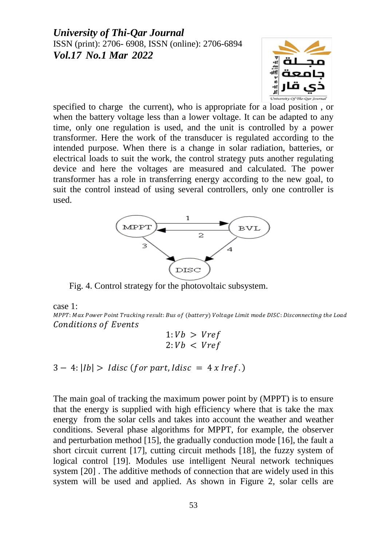

specified to charge the current), who is appropriate for a load position , or when the battery voltage less than a lower voltage. It can be adapted to any time, only one regulation is used, and the unit is controlled by a power transformer. Here the work of the transducer is regulated according to the intended purpose. When there is a change in solar radiation, batteries, or electrical loads to suit the work, the control strategy puts another regulating device and here the voltages are measured and calculated. The power transformer has a role in transferring energy according to the new goal, to suit the control instead of using several controllers, only one controller is used.



Fig. 4. Control strategy for the photovoltaic subsystem.

case 1:

MPPT: Max Power Point Tracking result: Bus of (battery) Voltage Limit mode DISC: Disconnecting the Load **Conditions of Events** 

$$
1:Vb > Vref
$$
  

$$
2:Vb < Vref
$$

 $3 - 4$ : |Ib| > Idisc (for part, Idisc =  $4x$  Iref.)

The main goal of tracking the maximum power point by (MPPT) is to ensure that the energy is supplied with high efficiency where that is take the max energy from the solar cells and takes into account the weather and weather conditions. Several phase algorithms for MPPT, for example, the observer and perturbation method [15], the gradually conduction mode [16], the fault a short circuit current [17], cutting circuit methods [18], the fuzzy system of logical control [19]. Modules use intelligent Neural network techniques system [20] . The additive methods of connection that are widely used in this system will be used and applied. As shown in Figure 2, solar cells are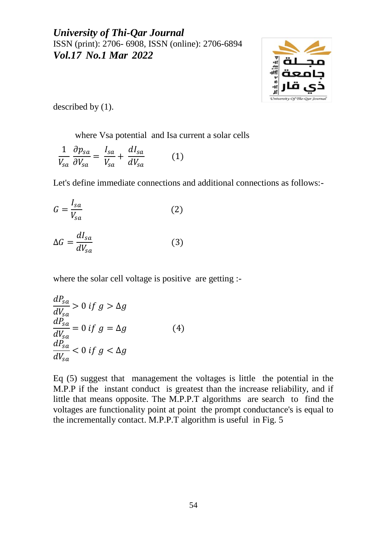

described by (1).

where Vsa potential and Isa current a solar cells

 $\mathbf{1}$ V<sub>s</sub>  $\partial$  $\partial$  $=$ I V<sub>s</sub>  $\ddag$  $\boldsymbol{d}$  $\boldsymbol{d}$  $(1)$ 

Let's define immediate connections and additional connections as follows:-

$$
G = \frac{I_{sa}}{V_{sa}}\tag{2}
$$

$$
\Delta G = \frac{dI_{sa}}{dV_{sa}}\tag{3}
$$

where the solar cell voltage is positive are getting :-

$$
\frac{dP_{sa}}{dV_{sa}} > 0 \text{ if } g > \Delta g
$$
  
\n
$$
\frac{dP_{sa}}{dV_{sa}} = 0 \text{ if } g = \Delta g
$$
  
\n
$$
\frac{dP_{sa}}{dV_{sa}} < 0 \text{ if } g < \Delta g
$$
\n(4)

Eq (5) suggest that management the voltages is little the potential in the M.P.P if the instant conduct is greatest than the increase reliability, and if little that means opposite. The M.P.P.T algorithms are search to find the voltages are functionality point at point the prompt conductance's is equal to the incrementally contact. M.P.P.T algorithm is useful in Fig. 5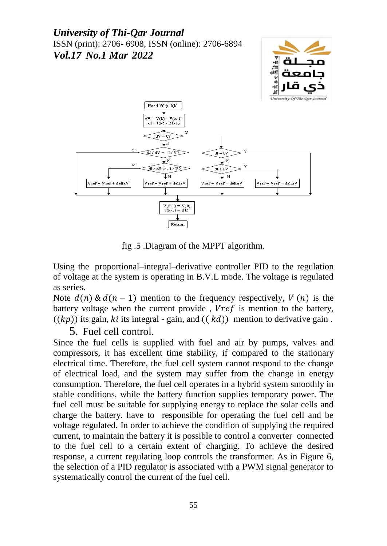

fig .5 .Diagram of the MPPT algorithm.

Using the proportional–integral–derivative controller PID to the regulation of voltage at the system is operating in B.V.L mode. The voltage is regulated as series.

Note  $d(n) \& d(n-1)$  mention to the frequency respectively,  $V(n)$  is the battery voltage when the current provide,  $Vref$  is mention to the battery,  $((kp))$  its gain, ki its integral - gain, and  $((kd))$  mention to derivative gain.

5. Fuel cell control.

Since the fuel cells is supplied with fuel and air by pumps, valves and compressors, it has excellent time stability, if compared to the stationary electrical time. Therefore, the fuel cell system cannot respond to the change of electrical load, and the system may suffer from the change in energy consumption. Therefore, the fuel cell operates in a hybrid system smoothly in stable conditions, while the battery function supplies temporary power. The fuel cell must be suitable for supplying energy to replace the solar cells and charge the battery. have to responsible for operating the fuel cell and be voltage regulated. In order to achieve the condition of supplying the required current, to maintain the battery it is possible to control a converter connected to the fuel cell to a certain extent of charging. To achieve the desired response, a current regulating loop controls the transformer. As in Figure 6, the selection of a PID regulator is associated with a PWM signal generator to systematically control the current of the fuel cell.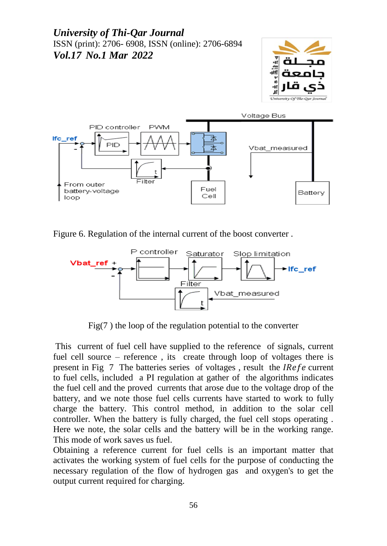



Figure 6. Regulation of the internal current of the boost converter .



Fig(7 ) the loop of the regulation potential to the converter

This current of fuel cell have supplied to the reference of signals, current fuel cell source – reference , its create through loop of voltages there is present in Fig  $\overline{7}$  The batteries series of voltages, result the *IRefe* current to fuel cells, included a PI regulation at gather of the algorithms indicates the fuel cell and the proved currents that arose due to the voltage drop of the battery, and we note those fuel cells currents have started to work to fully charge the battery. This control method, in addition to the solar cell controller. When the battery is fully charged, the fuel cell stops operating . Here we note, the solar cells and the battery will be in the working range. This mode of work saves us fuel.

Obtaining a reference current for fuel cells is an important matter that activates the working system of fuel cells for the purpose of conducting the necessary regulation of the flow of hydrogen gas and oxygen's to get the output current required for charging.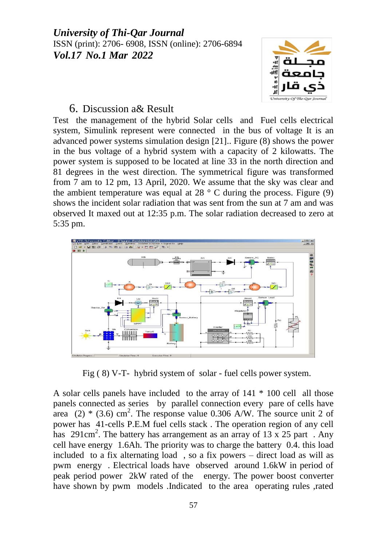

### 6. Discussion a& Result

Test the management of the hybrid Solar cells and Fuel cells electrical system, Simulink represent were connected in the bus of voltage It is an advanced power systems simulation design [21].. Figure (8) shows the power in the bus voltage of a hybrid system with a capacity of 2 kilowatts. The power system is supposed to be located at line 33 in the north direction and 81 degrees in the west direction. The symmetrical figure was transformed from 7 am to 12 pm, 13 April, 2020. We assume that the sky was clear and the ambient temperature was equal at  $28^\circ$  C during the process. Figure (9) shows the incident solar radiation that was sent from the sun at 7 am and was observed It maxed out at 12:35 p.m. The solar radiation decreased to zero at 5:35 pm.



Fig ( 8) V-T- hybrid system of solar - fuel cells power system.

A solar cells panels have included to the array of 141 \* 100 cell all those panels connected as series by parallel connection every pare of cells have area  $(2)$  \*  $(3.6)$  cm<sup>2</sup>. The response value 0.306 A/W. The source unit 2 of power has 41-cells P.E.M fuel cells stack . The operation region of any cell has  $291 \text{cm}^2$ . The battery has arrangement as an array of 13 x 25 part. Any cell have energy 1.6Ah. The priority was to charge the battery 0.4. this load included to a fix alternating load , so a fix powers – direct load as will as pwm energy . Electrical loads have observed around 1.6kW in period of peak period power 2kW rated of the energy. The power boost converter have shown by pwm models .Indicated to the area operating rules ,rated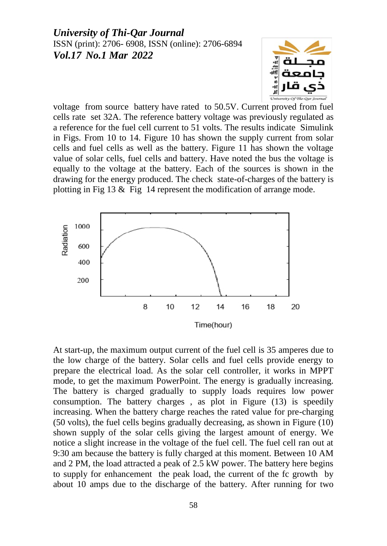

voltage from source battery have rated to 50.5V. Current proved from fuel cells rate set 32A. The reference battery voltage was previously regulated as a reference for the fuel cell current to 51 volts. The results indicate Simulink in Figs. From 10 to 14. Figure 10 has shown the supply current from solar cells and fuel cells as well as the battery. Figure 11 has shown the voltage value of solar cells, fuel cells and battery. Have noted the bus the voltage is equally to the voltage at the battery. Each of the sources is shown in the drawing for the energy produced. The check state-of-charges of the battery is plotting in Fig  $13 \&$  Fig 14 represent the modification of arrange mode.



At start-up, the maximum output current of the fuel cell is 35 amperes due to the low charge of the battery. Solar cells and fuel cells provide energy to prepare the electrical load. As the solar cell controller, it works in MPPT mode, to get the maximum PowerPoint. The energy is gradually increasing. The battery is charged gradually to supply loads requires low power consumption. The battery charges , as plot in Figure (13) is speedily increasing. When the battery charge reaches the rated value for pre-charging (50 volts), the fuel cells begins gradually decreasing, as shown in Figure (10) shown supply of the solar cells giving the largest amount of energy. We notice a slight increase in the voltage of the fuel cell. The fuel cell ran out at 9:30 am because the battery is fully charged at this moment. Between 10 AM and 2 PM, the load attracted a peak of 2.5 kW power. The battery here begins to supply for enhancement the peak load, the current of the fc growth by about 10 amps due to the discharge of the battery. After running for two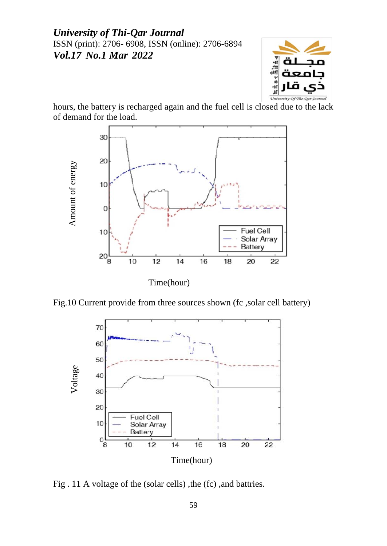

hours, the battery is recharged again and the fuel cell is closed due to the lack of demand for the load.



Fig.10 Current provide from three sources shown (fc ,solar cell battery)



Fig . 11 A voltage of the (solar cells) ,the (fc) ,and battries.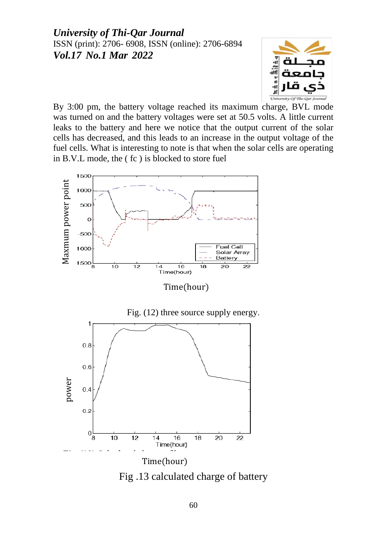

By 3:00 pm, the battery voltage reached its maximum charge, BVL mode was turned on and the battery voltages were set at 50.5 volts. A little current leaks to the battery and here we notice that the output current of the solar cells has decreased, and this leads to an increase in the output voltage of the fuel cells. What is interesting to note is that when the solar cells are operating in B.V.L mode, the ( fc ) is blocked to store fuel



Time(hour)



Fig .13 calculated charge of battery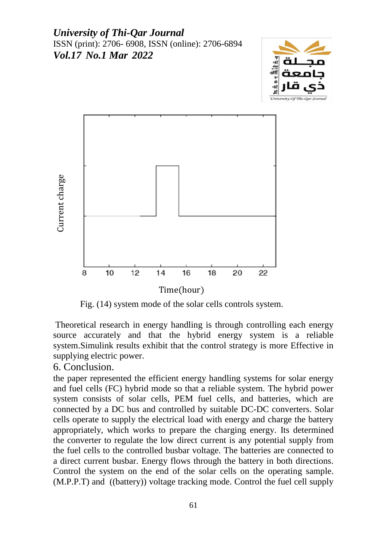



Fig. (14) system mode of the solar cells controls system.

Theoretical research in energy handling is through controlling each energy source accurately and that the hybrid energy system is a reliable system.Simulink results exhibit that the control strategy is more Effective in supplying electric power.

### 6. Conclusion.

the paper represented the efficient energy handling systems for solar energy and fuel cells (FC) hybrid mode so that a reliable system. The hybrid power system consists of solar cells, PEM fuel cells, and batteries, which are connected by a DC bus and controlled by suitable DC-DC converters. Solar cells operate to supply the electrical load with energy and charge the battery appropriately, which works to prepare the charging energy. Its determined the converter to regulate the low direct current is any potential supply from the fuel cells to the controlled busbar voltage. The batteries are connected to a direct current busbar. Energy flows through the battery in both directions. Control the system on the end of the solar cells on the operating sample. (M.P. P. The method of the solution of the same tracking mode of the same tracking mode of the solar cells controls system.<br>Theoretical research in energy handling is through controlling each energy source accurately and t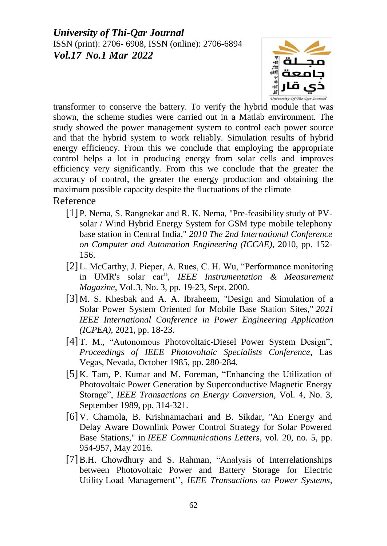

transformer to conserve the battery. To verify the hybrid module that was shown, the scheme studies were carried out in a Matlab environment. The study showed the power management system to control each power source and that the hybrid system to work reliably. Simulation results of hybrid energy efficiency. From this we conclude that employing the appropriate control helps a lot in producing energy from solar cells and improves efficiency very significantly. From this we conclude that the greater the accuracy of control, the greater the energy production and obtaining the maximum possible capacity despite the fluctuations of the climate

#### Reference

- [1] P. Nema, S. Rangnekar and R. K. Nema, "Pre-feasibility study of PVsolar / Wind Hybrid Energy System for GSM type mobile telephony base station in Central India," *2010 The 2nd International Conference on Computer and Automation Engineering (ICCAE)*, 2010, pp. 152- 156.
- [2] L. McCarthy, J. Pieper, A. Rues, C. H. Wu, "Performance monitoring in UMR's solar car", *IEEE Instrumentation & Measurement Magazine*, Vol.3, No. 3, pp. 19-23, Sept. 2000.
- [3] M. S. Khesbak and A. A. Ibraheem, "Design and Simulation of a Solar Power System Oriented for Mobile Base Station Sites," *2021 IEEE International Conference in Power Engineering Application (ICPEA)*, 2021, pp. 18-23.
- [4] T. M., "Autonomous Photovoltaic-Diesel Power System Design", *Proceedings of IEEE Photovoltaic Specialists Conference*, Las Vegas, Nevada, October 1985, pp. 280-284.
- [5] K. Tam, P. Kumar and M. Foreman, "Enhancing the Utilization of Photovoltaic Power Generation by Superconductive Magnetic Energy Storage", *IEEE Transactions on Energy Conversion*, Vol. 4, No. 3, September 1989, pp. 314-321.
- [6] V. Chamola, B. Krishnamachari and B. Sikdar, "An Energy and Delay Aware Downlink Power Control Strategy for Solar Powered Base Stations," in *IEEE Communications Letters*, vol. 20, no. 5, pp. 954-957, May 2016.
- [7]B.H. Chowdhury and S. Rahman, "Analysis of Interrelationships between Photovoltaic Power and Battery Storage for Electric Utility Load Management'', *IEEE Transactions on Power Systems*,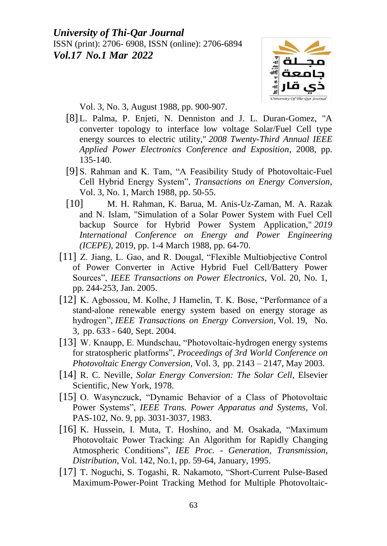

Vol. 3, No. 3, August 1988, pp. 900-907.

- [8] L. Palma, P. Enjeti, N. Denniston and J. L. Duran-Gomez, "A converter topology to interface low voltage Solar/Fuel Cell type energy sources to electric utility," *2008 Twenty-Third Annual IEEE Applied Power Electronics Conference and Exposition*, 2008, pp. 135-140.
- [9] S. Rahman and K. Tam, "A Feasibility Study of Photovoltaic-Fuel Cell Hybrid Energy System", *Transactions on Energy Conversion*, Vol. 3, No. 1, March 1988, pp. 50-55.
- [10] M. H. Rahman, K. Barua, M. Anis-Uz-Zaman, M. A. Razak and N. Islam, "Simulation of a Solar Power System with Fuel Cell backup Source for Hybrid Power System Application," *2019 International Conference on Energy and Power Engineering (ICEPE)*, 2019, pp. 1-4 March 1988, pp. 64-70.
- [11] Z. Jiang, L. Gao, and R. Dougal, "Flexible Multiobjective Control" of Power Converter in Active Hybrid Fuel Cell/Battery Power Sources", *IEEE Transactions on Power Electronics*, Vol. 20, No. 1, pp. 244-253, Jan. 2005.
- [12] K. Agbossou, M. Kolhe, J Hamelin, T. K. Bose, "Performance of a stand-alone renewable energy system based on energy storage as hydrogen", *IEEE Transactions on Energy Conversion*, Vol. 19, No. 3, pp. 633 - 640, Sept. 2004.
- [13] W. Knaupp, E. Mundschau, "Photovoltaic-hydrogen energy systems for stratospheric platforms", *Proceedings of 3rd World Conference on Photovoltaic Energy Conversion*, Vol. 3, pp. 2143 – 2147, May 2003.
- [14] R. C. Neville, *Solar Energy Conversion: The Solar Cell*, Elsevier Scientific, New York, 1978.
- [15] O. Wasynczuck, "Dynamic Behavior of a Class of Photovoltaic Power Systems", *IEEE Trans. Power Apparatus and Systems*, Vol. PAS-102, No. 9, pp. 3031-3037, 1983.
- [16] K. Hussein, I. Muta, T. Hoshino, and M. Osakada, "Maximum" Photovoltaic Power Tracking: An Algorithm for Rapidly Changing Atmospheric Conditions", *IEE Proc. - Generation, Transmission, Distribution*, Vol. 142, No.1, pp. 59-64, January, 1995.
- [17] T. Noguchi, S. Togashi, R. Nakamoto, "Short-Current Pulse-Based Maximum-Power-Point Tracking Method for Multiple Photovoltaic-